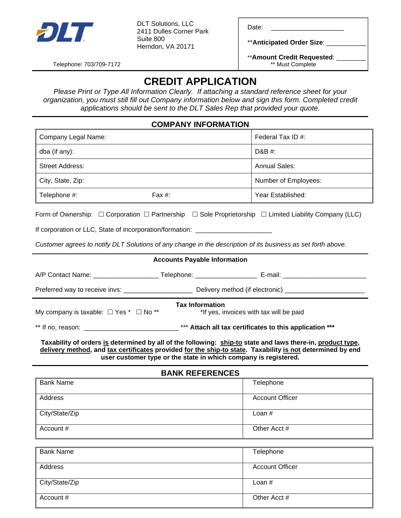

DET SOGNOMS, LLC<br>2411 Dulles Corner Park Date: \_\_\_\_\_\_\_\_\_\_\_\_\_\_\_ DLT Solutions, LLC Suite 800 Herndon, VA 20171

\*\***Anticipated Order Size**: \_\_\_\_\_\_\_\_\_\_\_

\*\***Amount Credit Requested**: \_\_\_\_\_\_\_\_

Telephone: 703/709-7172

# **CREDIT APPLICATION**

*Please Print or Type All Information Clearly. If attaching a standard reference sheet for your organization, you must still fill out Company information below and sign this form. Completed credit applications should be sent to the DLT Sales Rep that provided your quote.* 

### **COMPANY INFORMATION**

| Company Legal Name:    |           | Federal Tax ID $#$ : |
|------------------------|-----------|----------------------|
| dba (if any):          |           | D&B #:               |
| <b>Street Address:</b> |           | <b>Annual Sales:</b> |
| City, State, Zip:      |           | Number of Employees: |
| Telephone #:           | Fax $#$ : | Year Established:    |

Form of Ownership:  $\Box$  Corporation  $\Box$  Partnership  $\Box$  Sole Proprietorship  $\Box$  Limited Liability Company (LLC)

#### If corporation or LLC, State of incorporation/formation: \_\_\_\_\_

*Customer agrees to notify DLT Solutions of any change in the description of its business as set forth above.* 

#### **Accounts Payable Information**

| A/P Contact Name:              | elephone: | E-mail:                         |
|--------------------------------|-----------|---------------------------------|
| Preferred way to receive invs: |           | Delivery method (if electronic) |

**Tax Information** 

My company is taxable:  $\Box$  Yes  $*$   $\Box$  No  $**$   $*$   $*$  If yes, invoices with tax will be paid

\*\* If no, reason: \_\_\_\_\_\_\_\_\_\_\_\_\_\_\_\_\_\_\_\_\_\_\_\_\_\_\_\_\_\_\_ \*\*\* Attach all tax certificates to this application \*\*\*

**Taxability of orders is determined by all of the following: ship-to state and laws there-in, product type, delivery method, and tax certificates provided for the ship-to state. Taxability is not determined by end user customer type or the state in which company is registered.**

#### **BANK REFERENCES**

| <b>Bank Name</b> | Telephone              |
|------------------|------------------------|
| Address          | <b>Account Officer</b> |
| City/State/Zip   | Loan $#$               |
| Account #        | Other Acct #           |

| <b>Bank Name</b> | Telephone              |
|------------------|------------------------|
|                  |                        |
|                  |                        |
| Address          | <b>Account Officer</b> |
|                  |                        |
|                  |                        |
| City/State/Zip   | Loan $#$               |
|                  |                        |
|                  |                        |
| Account #        | Other Acct #           |
|                  |                        |
|                  |                        |